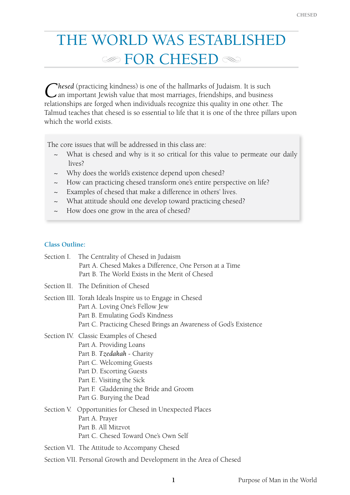# THE WORLD WAS ESTABLISHED **EOR CHESED**

Chesed (practicing kindness) is one of the hallmarks of Judaism. It is such an important Jewish value that most marriages, friendships, and business relationships are forged when individuals recognize this quality in one other. The Talmud teaches that chesed is so essential to life that it is one of the three pillars upon which the world exists.

The core issues that will be addressed in this class are:

- ~ What is chesed and why is it so critical for this value to permeate our daily lives?
- ~ Why does the world's existence depend upon chesed?
- ~ How can practicing chesed transform one's entire perspective on life?
- ~ Examples of chesed that make a difference in others' lives.
- ~ What attitude should one develop toward practicing chesed?
- How does one grow in the area of chesed?

## **Class Outline:**

|  | Section I. The Centrality of Chesed in Judaism<br>Part A. Chesed Makes a Difference, One Person at a Time<br>Part B. The World Exists in the Merit of Chesed                                                                                               |
|--|------------------------------------------------------------------------------------------------------------------------------------------------------------------------------------------------------------------------------------------------------------|
|  | Section II. The Definition of Chesed                                                                                                                                                                                                                       |
|  | Section III. Torah Ideals Inspire us to Engage in Chesed<br>Part A. Loving One's Fellow Jew<br>Part B. Emulating God's Kindness<br>Part C. Practicing Chesed Brings an Awareness of God's Existence                                                        |
|  | Section IV. Classic Examples of Chesed<br>Part A. Providing Loans<br>Part B. Tzedakah - Charity<br>Part C. Welcoming Guests<br>Part D. Escorting Guests<br>Part E. Visiting the Sick<br>Part F. Gladdening the Bride and Groom<br>Part G. Burying the Dead |
|  | Section V. Opportunities for Chesed in Unexpected Places<br>Part A. Prayer<br>Part B. All Mitzvot<br>Part C. Chesed Toward One's Own Self                                                                                                                  |
|  | Section VI. The Attitude to Accompany Chesed                                                                                                                                                                                                               |
|  | Section VII. Personal Growth and Development in the Area of Chesed                                                                                                                                                                                         |
|  |                                                                                                                                                                                                                                                            |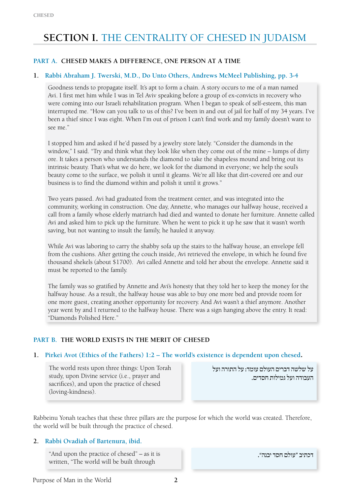## **Section I.** The Centrality of Chesed in Judaism

## **Part A. Chesed Makes a Difference, One Person at a Time**

#### **1. Rabbi Abraham J. Twerski, M.D., Do Unto Others, Andrews McMeel Publishing, pp. 3-4**

Goodness tends to propagate itself. It's apt to form a chain. A story occurs to me of a man named Avi. I first met him while I was in Tel Aviv speaking before a group of ex-convicts in recovery who were coming into our Israeli rehabilitation program. When I began to speak of self-esteem, this man interrupted me. "How can you talk to us of this? I've been in and out of jail for half of my 34 years. I've been a thief since I was eight. When I'm out of prison I can't find work and my family doesn't want to see me."

I stopped him and asked if he'd passed by a jewelry store lately. "Consider the diamonds in the window," I said. "Try and think what they look like when they come out of the mine – lumps of dirty ore. It takes a person who understands the diamond to take the shapeless mound and bring out its intrinsic beauty. That's what we do here, we look for the diamond in everyone; we help the soul's beauty come to the surface, we polish it until it gleams. We're all like that dirt-covered ore and our business is to find the diamond within and polish it until it grows."

Two years passed. Avi had graduated from the treatment center, and was integrated into the community, working in construction. One day, Annette, who manages our halfway house, received a call from a family whose elderly matriarch had died and wanted to donate her furniture. Annette called Avi and asked him to pick up the furniture. When he went to pick it up he saw that it wasn't worth saving, but not wanting to insult the family, he hauled it anyway.

While Avi was laboring to carry the shabby sofa up the stairs to the halfway house, an envelope fell from the cushions. After getting the couch inside, Avi retrieved the envelope, in which he found five thousand shekels (about \$1700). Avi called Annette and told her about the envelope. Annette said it must be reported to the family.

The family was so gratified by Annette and Avi's honesty that they told her to keep the money for the halfway house. As a result, the halfway house was able to buy one more bed and provide room for one more guest, creating another opportunity for recovery. And Avi wasn't a thief anymore. Another year went by and I returned to the halfway house. There was a sign hanging above the entry. It read: "Diamonds Polished Here."

## **PART B. THE WORLD EXISTS IN THE MERIT OF CHESED**

#### **1. Pirkei Avot (Ethics of the Fathers) 1:2 – The world's existence is dependent upon chesed.**

The world rests upon three things: Upon Torah study, upon Divine service (i.e., prayer and sacrifices), and upon the practice of chesed (loving-kindness).

על שלשה דברים העולם עומד: על התורה ועל העבודה ועל גמילות חסדים.

Rabbeinu Yonah teaches that these three pillars are the purpose for which the world was created. Therefore, the world will be built through the practice of chesed.

#### **2. Rabbi Ovadiah of Bartenura, ibid.**

"And upon the practice of chesed" – as it is written, "The world will be built through

דכתיב "עולם חסד יבנה".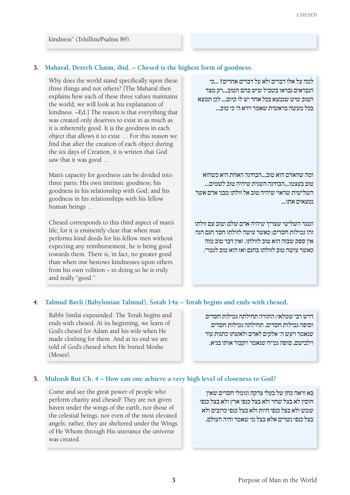kindness" (Tehillim/Psalms 89).

## **3. Maharal, Derech Chaim, ibid. – Chesed is the highest form of goodness.**

Why does the world stand specifically upon these three things and not others? [The Maharal then explains how each of these three values maintains the world; we will look at his explanation of kindness. –Ed.] The reason is that everything that was created only deserves to exist in as much as it is inherently good. It is the goodness in each object that allows it to exist … For this reason we find that after the creation of each object during the six days of Creation, it is written that God saw that it was good …

Man's capacity for goodness can be divided into three parts: His own intrinsic goodness; his goodness in his relationship with God; and his goodness in his relationships with his fellow human beings …

Chesed corresponds to this third aspect of man's life; for it is eminently clear that when man performs kind deeds for his fellow men without expecting any reimbursement, he is being good towards them. There is, in fact, no greater good than when one bestows kindnesses upon others from his own volition – in doing so he is truly and really "good."

למה על אלו דברים ולא על דברים אחרים? ...כי הנבראים נבראו בשביל שיש בהם הטוב...רק מצד הטוב שיש שנמצא בכל אחד יש לו קיום... לכן תמצא בכל מעשה בראשית שאמר וירא ה' כי טוב...

ומה שהאדם הוא טוב...הבחינה האחת היא כשהוא טוב בעצמו...הבחינה השנית שיהיה טוב לשמים... השלישית שראוי שיהיה טוב אל זולתו מבני אדם אשר נמצאים אתו...

וכנגד השלישי שצריך שיהיה אדם שלם וטוב עם זולתו זהו גמילות חסדים; כאשר עושה לזולתו חסד חנם הנה אין ספק שבזה הוא טוב לזולתו. ואין דבר טוב מזה כאשר עושה טוב לזולתו בחנם ואז הוא טוב לגמרי.

## **4. Talmud Bavli (Babylonian Talmud), Sotah 14a – Torah begins and ends with chesed.**

Rabbi Simlai expounded: The Torah begins and ends with chesed. At its beginning, we learn of God's chesed for Adam and his wife when He made clothing for them. And at its end we are told of God's chesed when He buried Moshe (Moses).

דרש רבי שמלאי: התורה תחילתה גמילות חסדים וסופה גמילות חסדים. תחילתה גמילות חסדים שנאמר ויעש ה' אלקים לאדם ולאשתו כתנות עור וילבישם. סופה גמ"ח שנאמר ויקבור אותו בגיא.

## **5. Midrash Rut Ch. 4 – How can one achieve a very high level of closeness to God?**

Come and see the great power of people who perform charity and chesed! They are not given haven under the wings of the earth, nor those of the celestial beings, nor even of the most elevated angels; rather, they are sheltered under the Wings of He Whom through His utterance the universe was created.

בא וראה כחן של בעלי צדקה וגומלי חסדים שאין חוסין לא בצל שחר ולא בצל כנפי ארץ ולא בצל כנפי שמש ולא בצל כנפי חיות ולא בצל כנפי כרובים ולא בצל כנפי נשרים אלא בצל מי שאמר והיה העולם.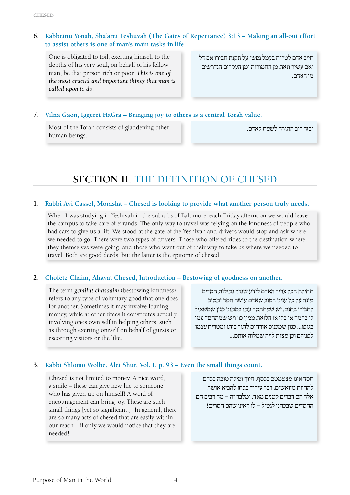## **6. Rabbeinu Yonah, Sha'arei Teshuvah (The Gates of Repentance) 3:13 – Making an all-out effort to assist others is one of man's main tasks in life.**

One is obligated to toil, exerting himself to the depths of his very soul, on behalf of his fellow man, be that person rich or poor. *This is one of the most crucial and important things that man is called upon to do.*

חייב אדם לטרוח בעמל נפשו על תקנת חבירו אם דל ואם עשיר וזאת מן החמורות ומן העקרים הנדרשים מן האדם.

## **7. Vilna Gaon, Iggeret HaGra – Bringing joy to others is a central Torah value.**

Most of the Torah consists of gladdening other human beings.

ובזה רוב התורה לשמח לאדם.

## **Section II.** The Definition of Chesed

## **1. Rabbi Avi Cassel, Morasha – Chesed is looking to provide what another person truly needs.**

When I was studying in Yeshivah in the suburbs of Baltimore, each Friday afternoon we would leave the campus to take care of errands. The only way to travel was relying on the kindness of people who had cars to give us a lift. We stood at the gate of the Yeshivah and drivers would stop and ask where we needed to go. There were two types of drivers: Those who offered rides to the destination where they themselves were going, and those who went out of their way to take us where we needed to travel. Both are good deeds, but the latter is the epitome of chesed.

## **2. Chofetz Chaim, Ahavat Chesed, Introduction – Bestowing of goodness on another.**

The term *gemilut chasadim* (bestowing kindness) refers to any type of voluntary good that one does for another. Sometimes it may involve loaning money, while at other times it constitutes actually involving one's own self in helping others, such as through exerting oneself on behalf of guests or escorting visitors or the like.

תחילת הכל צריך האדם לידע שגדר גמילות חסדים מונח על כל עניני הטוב שאדם עושה חסד ומטיב לחבירו בחנם. יש שמתחסד עמו בממונו כגון שמשאיל לו בהמה או כלי או הלואת ממון כו' ויש שמתחסד עמו בגופו... כגון שמכניס אורחים לתוך ביתו ומטריח עצמו לפניהם וכן מצות לויה שמלוה אותם...

## **3. Rabbi Shlomo Wolbe, Alei Shur, Vol. I, p. 93 – Even the small things count.**

Chesed is not limited to money. A nice word, a smile – these can give new life to someone who has given up on himself! A word of encouragement can bring joy. These are such small things [yet so significant!]. In general, there are so many acts of chesed that are easily within our reach – if only we would notice that they are needed!

חסד אינו מצטמטם בכסף. חיוך ומילה טובה בכחם להחיות מיואשים, דבר עידוד בכחו להביא אושר. אלה הם דברים קטנים מאד. ומלבד זה – מה רבים הם החסדים שבכחנו לגמול – לו ראינו שהם חסרים!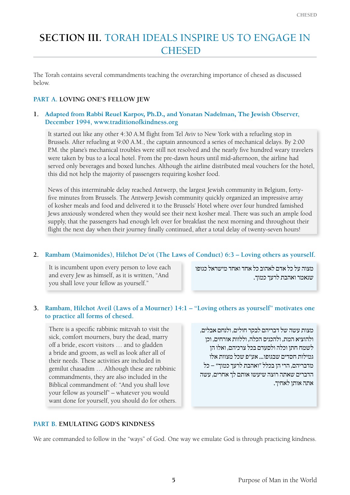## **SECTION III. TORAH IDEALS INSPIRE US TO ENGAGE IN CHESED**

The Torah contains several commandments teaching the overarching importance of chesed as discussed below.

#### **Part A. Loving One's Fellow Jew**

#### **1. Adapted from Rabbi Reuel Karpov, Ph.D., and Yonatan Nadelman, The Jewish Observer, December 1994, www.traditionofkindness.org**

It started out like any other 4:30 A.M flight from Tel Aviv to New York with a refueling stop in Brussels. After refueling at 9:00 A.M., the captain announced a series of mechanical delays. By 2:00 P.M. the plane's mechanical troubles were still not resolved and the nearly five hundred weary travelers were taken by bus to a local hotel. From the pre-dawn hours until mid-afternoon, the airline had served only beverages and boxed lunches. Although the airline distributed meal vouchers for the hotel, this did not help the majority of passengers requiring kosher food.

News of this interminable delay reached Antwerp, the largest Jewish community in Belgium, fortyfive minutes from Brussels. The Antwerp Jewish community quickly organized an impressive array of kosher meals and food and delivered it to the Brussels' Hotel where over four hundred famished Jews anxiously wondered when they would see their next kosher meal. There was such an ample food supply, that the passengers had enough left over for breakfast the next morning and throughout their flight the next day when their journey finally continued, after a total delay of twenty-seven hours!

## **2. Rambam (Maimonides), Hilchot De'ot (The Laws of Conduct) 6:3 – Loving others as yourself.**

It is incumbent upon every person to love each and every Jew as himself, as it is written, "And you shall love your fellow as yourself."

מצוה על כל אדם לאהוב כל אחד ואחד מישראל כגופו שנאמר ואהבת לרעך כמוך.

## **3. Rambam, Hilchot Aveil (Laws of a Mourner) 14:1 – "Loving others as yourself" motivates one to practice all forms of chesed.**

There is a specific rabbinic mitzvah to visit the sick, comfort mourners, bury the dead, marry off a bride, escort visitors … and to gladden a bride and groom, as well as look after all of their needs. These activities are included in gemilut chasadim … Although these are rabbinic commandments, they are also included in the Biblical commandment of: "And you shall love your fellow as yourself" – whatever you would want done for yourself, you should do for others.

מצות עשה של דבריהם לבקר חולים, ולנחם אבלים, ולהוציא המת, ולהכניס הכלה, וללוות אורחים, וכן לשמח חתן וכלה ולסעדם בכל צרכיהם, ואלו הן גמילות חסדים שבגופו... אע"פ שכל מצוות אלו מדבריהם, הרי הן בכלל "ואהבת לרעך כמוך" – כל הדברים שאתה רוצה שיעשו אותם לך אחרים, עשה אתה אותן לאחיך.

#### **Part B. Emulating God's Kindness**

We are commanded to follow in the "ways" of God. One way we emulate God is through practicing kindness.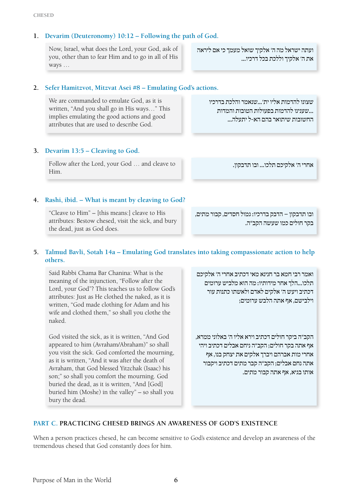## **1. Devarim (Deuteronomy) 10:12 – Following the path of God.**

Now, Israel, what does the Lord, your God, ask of you, other than to fear Him and to go in all of His ways …

**2. Sefer Hamitzvot, Mitzvat Asei #8 – Emulating God's actions.**

We are commanded to emulate God, as it is written, "And you shall go in His ways…" This implies emulating the good actions and good attributes that are used to describe God.

החשובות שיתואר בהם הא-ל יתעלה...

ועתה ישראל מה ה' אלקיך שואל מעמך כי אם ליראה

שצונו להדמות אליו ית'...שנאמר והלכת בדרכיו ...שענינו להדמות בפעולות הטובות והמדות

את ה' אלקיך וללכת בכל דרכיו...

## **3. Devarim 13:5 – Cleaving to God.**

Follow after the Lord, your God … and cleave to Him.

אחרי ה' אלקיכם תלכו... ובו תדבקון.

## **4. Rashi, ibid. – What is meant by cleaving to God?**

"Cleave to Him" – [this means:] cleave to His attributes: Bestow chesed, visit the sick, and bury the dead, just as God does.

ובו תדבקון – הדבק בדרכיו: גמול חסדים, קבור מתים, בקר חולים כמו שעשה הקב"ה.

## **5. Talmud Bavli, Sotah 14a – Emulating God translates into taking compassionate action to help others.**

Said Rabbi Chama Bar Chanina: What is the meaning of the injunction, "Follow after the Lord, your God"? This teaches us to follow God's attributes: Just as He clothed the naked, as it is written, "God made clothing for Adam and his wife and clothed them," so shall you clothe the naked.

God visited the sick, as it is written, "And God appeared to him (Avraham/Abraham)" so shall you visit the sick. God comforted the mourning, as it is written, "And it was after the death of Avraham, that God blessed Yitzchak (Isaac) his son;" so shall you comfort the mourning. God buried the dead, as it is written, "And [God] buried him (Moshe) in the valley" – so shall you bury the dead.

ואמר רבי חמא בר חנינא מאי דכתיב אחרי ה' אלקיכם תלכו...הלך אחר מידותיו: מה הוא מלביש ערומים דכתיב ויעש ה' אלקים לאדם ולאשתו כתנות עור וילבישם, אף אתה הלבש ערומים;

הקב"ה ביקר חולים דכתיב וירא אליו ה' באלוני ממרא, אף אתה בקר חולים; הקב"ה ניחם אבלים דכתיב ויהי אחרי מות אברהם ויברך אלקים את יצחק בנו, אף אתה נחם אבלים; הקב"ה קבר מתים דכתיב ויקבור אותו בגיא, אף אתה קבור מתים.

## **Part C. Practicing Chesed Brings an Awareness of God's Existence**

When a person practices chesed, he can become sensitive to God's existence and develop an awareness of the tremendous chesed that God constantly does for him.

Purpose of Man in the World **6**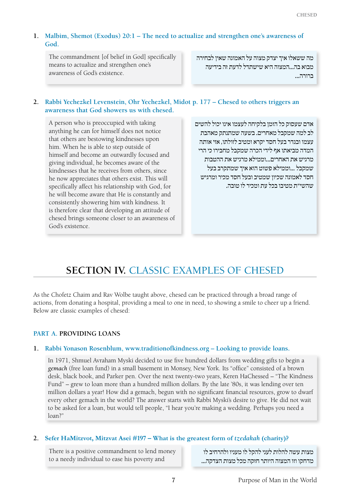## **1. Malbim, Shemot (Exodus) 20:1 – The need to actualize and strengthen one's awareness of God.**

The commandment [of belief in God] specifically means to actualize and strengthen one's awareness of God's existence.

מה ששאלו איך יצדק מצוה על האמונה שאין לבחירה מבוא בה...המצוה היא שישתדל לדעת זה בידיעה ברורה...

## **2. Rabbi Yechezkel Levenstein, Ohr Yechezkel, Midot p. 177 – Chesed to others triggers an awareness that God showers us with chesed.**

A person who is preoccupied with taking anything he can for himself does not notice that others are bestowing kindnesses upon him. When he is able to step outside of himself and become an outwardly focused and giving individual, he becomes aware of the kindnesses that he receives from others, since he now appreciates that others exist. This will specifically affect his relationship with God, for he will become aware that He is constantly and consistently showering him with kindness. It is therefore clear that developing an attitude of chesed brings someone closer to an awareness of God's existence.

אדם שעסוק כל הזמן בלקיחה לעצמו אינו יכול להשים לב למה שמקבל מאחרים. בשעה שמתנתק מאהבת עצמו ובגדר בעל חסד יקרא ומטיב לזולתו, אזי אותה המדה מביאתו אף לידי הכרה שמקבל מחבירו כי הרי מרגיש את האחרים...וממילא מרגיש את ההטבות שמקבל ...וממילא פשוט הוא איך שמתקרב בעל חסד לאמונה שכיון שמטיב ובעל חסד מכיר ומרגיש שהשי"ת מטיבו בכל עת ומכיר לו טובה.

## **Section IV.** Classic Examples of Chesed

As the Chofetz Chaim and Rav Wolbe taught above, chesed can be practiced through a broad range of actions, from donating a hospital, providing a meal to one in need, to showing a smile to cheer up a friend. Below are classic examples of chesed:

## **Part A. Providing Loans**

## **1. Rabbi Yonason Rosenblum, www.traditionofkindness.org – Looking to provide loans.**

In 1971, Shmuel Avraham Myski decided to use five hundred dollars from wedding gifts to begin a *gemach* (free loan fund) in a small basement in Monsey, New York. Its "office" consisted of a brown desk, black book, and Parker pen. Over the next twenty-two years, Keren HaChessed – "The Kindness Fund" – grew to loan more than a hundred million dollars. By the late '80s, it was lending over ten million dollars a year! How did a gemach, begun with no significant financial resources, grow to dwarf every other gemach in the world? The answer starts with Rabbi Myski's desire to give. He did not wait to be asked for a loan, but would tell people, "I hear you're making a wedding. Perhaps you need a loan?"

## **2. Sefer HaMitzvot, Mitzvat Asei #197 – What is the greatest form of** *tzedakah* **(charity)?**

There is a positive commandment to lend money to a needy individual to ease his poverty and

מצות עשה להלות לעני להקל לו מעניו ולהרחיב לו מדחקו וזו המצוה היותר חזקה מכל מצות הצדקה...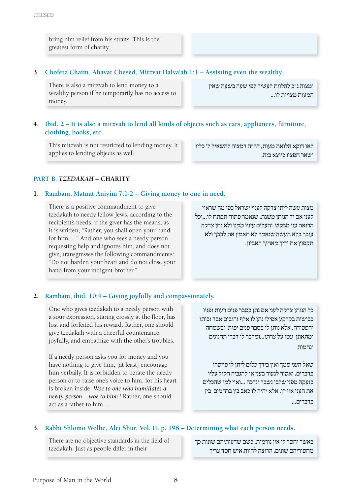bring him relief from his straits. This is the greatest form of charity.

## **3. Chofetz Chaim, Ahavat Chesed, Mitzvat Halva'ah 1:1 – Assisting even the wealthy.**

There is also a mitzvah to lend money to a wealthy person if he temporarily has no access to money.

ומצוה ג"כ להלוות לעשיר לפי שעה בשעה שאין המעות מצויות לו...

## **4. Ibid. 2 – It is also a mitzvah to lend all kinds of objects such as cars, appliances, furniture, clothing, books, etc.**

This mitzvah is not restricted to lending money. It applies to lending objects as well.

**Part B.** *Tzedakah* **– Charity**

## **1. Rambam, Matnat Aniyim 7:1-2 – Giving money to one in need.**

There is a positive commandment to give tzedakah to needy fellow Jews, according to the recipient's needs, if the giver has the means; as it is written, "Rather, you shall open your hand for him …" And one who sees a needy person requesting help and ignores him, and does not give, transgresses the following commandments: "Do not harden your heart and do not close your hand from your indigent brother."

מצות עשה ליתן צדקה לעניי ישראל כפי מה שראוי לעני אם יד הנותן משגת. שנאמר פתוח תפתח לו...וכל הרואה עני מבקש והעלים עיניו ממנו ולא נתן צדקה עובר בלא תעשה שנאמר לא תאמץ את לבבך ולא תקפוץ את ידיך מאחיך האביון.

לאו דוקא הלואת מעות, דה"ה דמצוה להשאיל לו כליו

ושאר חפציו כיוצא בזה.

## **2. Rambam, ibid. 10:4 – Giving joyfully and compassionately.**

One who gives tzedakah to a needy person with a sour expression, staring crossly at the floor, has lost and forfeited his reward. Rather, one should give tzedakah with a cheerful countenance, joyfully, and empathize with the other's troubles.

If a needy person asks you for money and you have nothing to give him, [at least] encourage him verbally. It is forbidden to berate the needy person or to raise one's voice to him, for his heart is broken inside. *Woe to one who humiliates a needy person – woe to him!!* Rather, one should act as a father to him…

כל הנותן צדקה לעני אם נתן בסבר פנים רעות ופניו כבושות בקרקע אפילו נתן לו אלף זהובים אבד זכותו והפסידה. אלא נותן לו בסבר פנים יפות ובשמחה ומתאונן עמו על צרתו...ומדבר לו דברי תחנונים ונחמות

שאל העני ממך ואין בידך כלום ליתן לו פייסהו בדברים. ואסור לגעור בעני או להגביה הקול עליו בזעקה מפני שלבו נשבר ונדכה ...ואוי למי שהכלים את העני אוי לו. אלא יהיה לו כאב בין ברחמים בין בדברים...

## **3. Rabbi Shlomo Wolbe, Alei Shur, Vol. II. p. 198 – Determining what each person needs.**

There are no objective standards in the field of tzedakah. Just as people differ in their

באשר יחסר לו אין נורמות. כשם שדעותיהם שונות כך מחסוריהם שונים. הרוצה להיות איש חסד צריך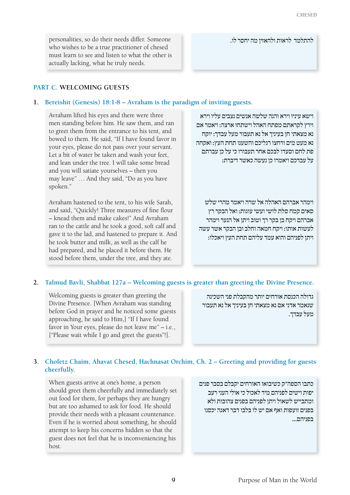personalities, so do their needs differ. Someone who wishes to be a true practitioner of chesed must learn to see and listen to what the other is actually lacking, what he truly needs.

#### **Part C. Welcoming Guests**

#### **1. Bereishit (Genesis) 18:1-8 – Avraham is the paradigm of inviting guests.**

Avraham lifted his eyes and there were three men standing before him. He saw them, and ran to greet them from the entrance to his tent, and bowed to them. He said, "If I have found favor in your eyes, please do not pass over your servant. Let a bit of water be taken and wash your feet, and lean under the tree. I will take some bread and you will satiate yourselves – then you may leave" … And they said, "Do as you have spoken."

Avraham hastened to the tent, to his wife Sarah, and said, "Quickly! Three measures of fine flour – knead them and make cakes!" And Avraham ran to the cattle and he took a good, soft calf and gave it to the lad, and hastened to prepare it. And he took butter and milk, as well as the calf he had prepared, and he placed it before them. He stood before them, under the tree, and they ate.

וישא עיניו וירא והנה שלשה אנשים נצבים עליו וירא וירץ לקראתם מפתח האהל וישתחו ארצה: ויאמר אם נא מצאתי חן בעיניך אל נא תעבור מעל עבדך: יוקח נא מעט מים ורחצו רגליכם והשענו תחת העץ: ואקחה פת לחם וסעדו לבכם אחר תעבורו כי על כן עברתם על עבדכם ויאמרו כן נעשה כאשר דיברת:

להתלמד לראות ולהאזין מה יחסר לו.

וימהר אברהם האהלה אל שרה ויאמר מהרי שלש סאים קמח סלת לושי ועשי עוגות: ואל הבקר רץ אברהם ויקח בן בקר רך וטוב ויתן אל הנער וימהר לעשות אותו: ויקח חמאה וחלב ובן הבקר אשר עשה ויתן לפניהם והוא עמד עליהם תחת העץ ויאכלו:

#### **2. Talmud Bavli, Shabbat 127a – Welcoming guests is greater than greeting the Divine Presence.**

Welcoming guests is greater than greeting the Divine Presence. [When Avraham was standing before God in prayer and he noticed some guests approaching, he said to Him,] "If I have found favor in Your eyes, please do not leave me" – i.e., ["Please wait while I go and greet the guests"!].

גדולה הכנסת אורחים יותר מהקבלת פני השכינה שנאמר אדני אם נא מצאתי חן בעיניך אל נא תעבור מעל עבדך.

#### **3. Chofetz Chaim, Ahavat Chesed, Hachnasat Orchim, Ch. 2 – Greeting and providing for guests cheerfully.**

When guests arrive at one's home, a person should greet them cheerfully and immediately set out food for them, for perhaps they are hungry but are too ashamed to ask for food. He should provide their needs with a pleasant countenance. Even if he is worried about something, he should attempt to keep his concerns hidden so that the guest does not feel that he is inconveniencing his host.

כתבו הספה"ק כשיבואו האורחים יקבלם בסבר פנים יפות וישים לפניהם מיד לאכול כי אולי העני רעב ומתבייש לשאול ויתן לפניהם בפנים צהובות ולא בפנים זועפות ואף אם יש לו בלבו דבר דאגה יכסנו בפניהם...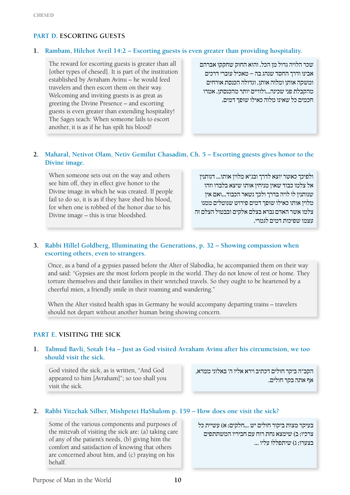## **Part D. Escorting Guests**

## **1. Rambam, Hilchot Aveil 14:2 – Escorting guests is even greater than providing hospitality.**

The reward for escorting guests is greater than all [other types of chesed]. It is part of the institution established by Avraham Avinu – he would feed travelers and then escort them on their way. Welcoming and inviting guests is as great as greeting the Divine Presence – and escorting guests is even greater than extending hospitality! The Sages teach: When someone fails to escort another, it is as if he has spilt his blood!

שכר הלויה גדול מן הכל. והוא החוק שחקקו אברהם אבינו ודרך החסד שנהג בה – מאכיל עוברי דרכים ומשקה אותן ומלוה אותן. וגדולה הכנסת אורחים מהקבלת פני שכינה...ולוויים יותר מהכנסתן. אמרו חכמים כל שאינו מלוה כאילו שופך דמים.

## **2. Maharal, Netivot Olam, Netiv Gemilut Chasadim, Ch. 5 – Escorting guests gives honor to the Divine image.**

When someone sets out on the way and others see him off, they in effect give honor to the Divine image in which he was created. If people fail to do so, it is as if they have shed his blood, for when one is robbed of the honor due to his Divine image – this is true bloodshed.

ולפיכך כאשר יוצא לדרך ובנ"א מלוין אותו... דנותנין אל צלמו כבוד שאין מניחין אותו שיצא בלבדו וזהו שנותנין לו לויה בדרך ולכך נשאר הכבוד...ואם אין מלוין אותו כאילו שופך דמים פירוש שנוטלים ממנו צלמו אשר האדם נברא בצלם אלקים ובבטול הצלם זה עצמו שפיכות דמים לגמרי.

## **3. Rabbi Hillel Goldberg, Illuminating the Generations, p. 32 – Showing compassion when escorting others, even to strangers.**

Once, as a band of a gypsies passed before the Alter of Slabodka, he accompanied them on their way and said: "Gypsies are the most forlorn people in the world. They do not know of rest or home. They torture themselves and their families in their wretched travels. So they ought to be heartened by a cheerful mien, a friendly smile in their roaming and wandering."

When the Alter visited health spas in Germany he would accompany departing trains – travelers should not depart without another human being showing concern.

## **Part E. Visiting the Sick**

## **1. Talmud Bavli, Sotah 14a – Just as God visited Avraham Avinu after his circumcision, we too should visit the sick.**

God visited the sick, as is written, "And God appeared to him [Avraham]"; so too shall you visit the sick.

הקב"ה ביקר חולים דכתיב וירא אליו ה' באלוני ממרא, אף אתה בקר חולים.

## **2. Rabbi Yitzchak Silber, Mishpetei HaShalom p. 159 – How does one visit the sick?**

Some of the various components and purposes of the mitzvah of visiting the sick are: (a) taking care of any of the patient's needs, (b) giving him the comfort and satisfaction of knowing that others are concerned about him, and (c) praying on his behalf.

בעיקר מצות ביקור חולים יש ...חלקים: א) עשיית כל צרכיו; ב( שימצא נחת רוח עם חביריו המשתתפים בצערו: ג) שיתפללו עליו ...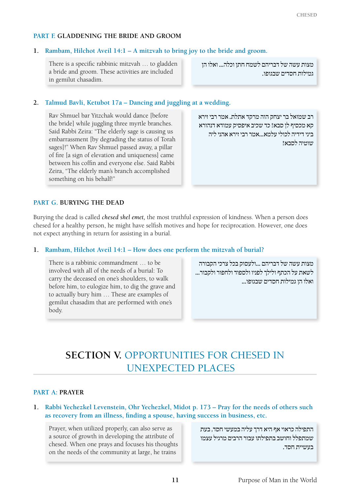#### **Part F. Gladdening the Bride and Groom**

#### **1. Rambam, Hilchot Aveil 14:1 – A mitzvah to bring joy to the bride and groom.**

There is a specific rabbinic mitzvah … to gladden a bride and groom. These activities are included in gemilut chasadim.

מצות עשה של דבריהם לשמח חתן וכלה... ואלו הן גמילות חסדים שבגופו.

## **2. Talmud Bavli, Ketubot 17a – Dancing and juggling at a wedding.**

Rav Shmuel bar Yitzchak would dance [before the bride] while juggling three myrtle branches. Said Rabbi Zeira: "The elderly sage is causing us embarrassment [by degrading the status of Torah sages]!" When Rav Shmuel passed away, a pillar of fire [a sign of elevation and uniqueness] came between his coffin and everyone else. Said Rabbi Zeira, "The elderly man's branch accomplished something on his behalf!"

רב שמואל בר יצחק הוה מרקד אתלת. אמר רבי זירא קא מכסיף לן סבא! כד שכיב איפסיק עמודא דנהורא ביני דידיה לכולי עלמא...אמר רבי זירא אהני ליה שוטיה לסבא!

## **Part G. Burying the Dead**

Burying the dead is called *chesed shel emet,* the most truthful expression of kindness. When a person does chesed for a healthy person, he might have selfish motives and hope for reciprocation. However, one does not expect anything in return for assisting in a burial.

#### **1. Rambam, Hilchot Aveil 14:1 – How does one perform the mitzvah of burial?**

There is a rabbinic commandment … to be involved with all of the needs of a burial: To carry the deceased on one's shoulders, to walk before him, to eulogize him, to dig the grave and to actually bury him … These are examples of gemilut chasadim that are performed with one's body.

מצות עשה של דבריהם ...ולעסוק בכל צרכי הקבורה לשאת על הכתף ולילך לפניו ולספוד ולחפור ולקבור... ואלו הן גמילות חסדים שבגופו...

## **Section V.** Opportunities for Chesed in Unexpected Places

#### **Part A: Prayer**

**1. Rabbi Yechezkel Levenstein, Ohr Yechezkel, Midot p. 173 – Pray for the needs of others such as recovery from an illness, finding a spouse, having success in business, etc.**

Prayer, when utilized properly, can also serve as a source of growth in developing the attribute of chesed. When one prays and focuses his thoughts on the needs of the community at large, he trains

התפילה כראוי אף היא דרך עליה במעשי חסד, בעת שמתפלל וחושב בתפילתו עבור הרבים מרגיל עצמו בעשיית חסד.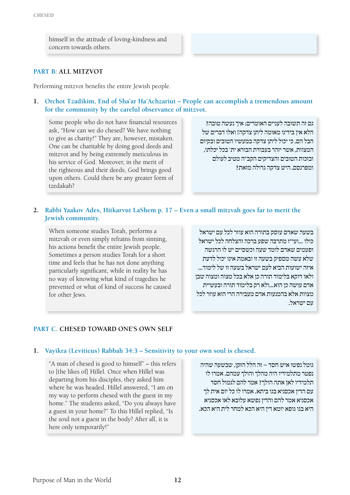himself in the attitude of loving-kindness and concern towards others.

## **Part B: All Mitzvot**

Performing mitzvot benefits the entire Jewish people.

**1. Orchot Tzadikim, End of Sha'ar Ha'Achzariut – People can accomplish a tremendous amount for the community by the careful observance of mitzvot.**

Some people who do not have financial resources ask, "How can we do chesed? We have nothing to give as charity!" They are, however, mistaken. One can be charitable by doing good deeds and mitzvot and by being extremely meticulous in his service of God. Moreover, in the merit of the righteous and their deeds, God brings good upon others. Could there be any greater form of tzedakah?

גם זה תשובה לעניים האומרים: איך נעשה טובה? הלא אין בידינו מאומה ליתן צדקה! ואלו דברים של הבל הם, כי יכול ליתן צדקה במעשיו הטובים ובקיום המצוות, אשר יזהר בעבודת הבורא ית' בכל יכלתו, ובזכות הטובים והצדיקים הקב"ה מטיב לעולם ומפרנסם, היש צדקה גדולה מזאת?

## **2. Rabbi Yaakov Ades, Hitkarvut LaShem p. 17 – Even a small mitzvah goes far to merit the Jewish community.**

When someone studies Torah, performs a mitzvah or even simply refrains from sinning, his actions benefit the entire Jewish people. Sometimes a person studies Torah for a short time and feels that he has not done anything particularly significant, while in reality he has no way of knowing what kind of tragedies he prevented or what of kind of success he caused for other Jews.

בשעה שאדם עוסק בתורה הוא עוזר לכל עם ישראל כולו ...ועי"ז מתרבה שפע ברכה והצלחה לכל ישראל ופעמים שאדם לומד שעה וכשסיים יש לו הרגשה שלא עשה מספיק בשעה זו ובאמת אינו יכול לדעת איזה ישועות הביא לעם ישראל בשעה זו של לימוד... ולאו דוקא בלימוד תורה כן אלא בכל מצוה ומצוה שבן אדם עושה כן הוא...ולא רק בלימוד תורה ובעשיית מצוות אלא בהמנעות אדם מעבירה הרי הוא עוזר לכל עם ישראל.

## **Part C. Chesed Toward One's Own Self**

#### **1. Vayikra (Leviticus) Rabbah 34:3 – Sensitivity to your own soul is chesed.**

"A man of chesed is good to himself" – this refers to [the likes of] Hillel. Once when Hillel was departing from his disciples, they asked him where he was headed. Hillel answered, "I am on my way to perform chesed with the guest in my home." The students asked, "Do you always have a guest in your home?" To this Hillel replied, "Is the soul not a guest in the body? After all, it is here only temporarily!"

גומל נפשו איש חסד – זה הלל הזקן, שבשעה שהיה נפטר מתלמידיו היה מהלך והולך עמהם. אמרו לו תלמידיו לאן אתה הולך? אמר להם לגמול חסד עם הדין אכסניא בגו ביתא. אמרו לו כל יום אית לך אכסניא אמר להם והדין נפשא עלובא לאו אכסניא היא בגו גופא יומא דין היא הכא למחר לית היא הכא.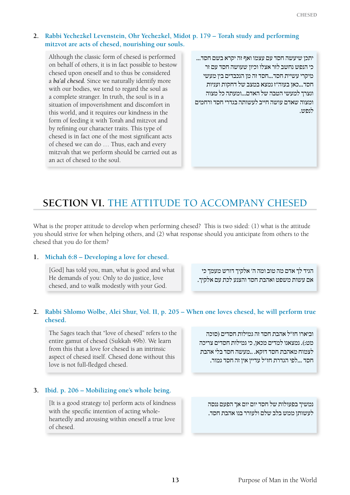## **2. Rabbi Yechezkel Levenstein, Ohr Yechezkel, Midot p. 179 – Torah study and performing mitzvot are acts of chesed, nourishing our souls.**

Although the classic form of chesed is performed on behalf of others, it is in fact possible to bestow chesed upon oneself and to thus be considered a *ba'al chesed.* Since we naturally identify more with our bodies, we tend to regard the soul as a complete stranger. In truth, the soul is in a situation of impoverishment and discomfort in this world, and it requires our kindness in the form of feeding it with Torah and mitzvot and by refining our character traits. This type of chesed is in fact one of the most significant acts of chesed we can do … Thus, each and every mitzvah that we perform should be carried out as an act of chesed to the soul.

יתכן שיעשה חסד עם עצמו ואף זה יקרא בשם חסד... כי הנפש נחשב לזר אצלו וכיון שעושה חסד עם זר מיקרי עשיית חסד...חסד זה מן הנכבדים בין מעשי חסד...כאן בעוה"ז נמצא במצב של דחקות ועניות ונצרך למעשי הטבה של האדם...ומעתה כל מצוה ומצוה שאדם עושה חייב לעשותה בגדרי חסד ורחמים לנפש.

## **Section VI.** The Attitude to Accompany Chesed

What is the proper attitude to develop when performing chesed? This is two sided: (1) what is the attitude you should strive for when helping others, and (2) what response should you anticipate from others to the chesed that you do for them?

## **1. Michah 6:8 – Developing a love for chesed.**

[God] has told you, man, what is good and what He demands of you: Only to do justice, love chesed, and to walk modestly with your God.

הגיד לך אדם מה טוב ומה ה' אלקיך דורש מעמך כי אם עשות משפט ואהבת חסד והצנע לכת עם אלקיך.

## **2. Rabbi Shlomo Wolbe, Alei Shur, Vol. II, p. 205 – When one loves chesed, he will perform true chesed.**

The Sages teach that "love of chesed" refers to the entire gamut of chesed (Sukkah 49b). We learn from this that a love for chesed is an intrinsic aspect of chesed itself. Chesed done without this love is not full-fledged chesed.

## **3. Ibid. p. 206 – Mobilizing one's whole being.**

[It is a good strategy to] perform acts of kindness with the specific intention of acting wholeheartedly and arousing within oneself a true love of chesed.

וביארו חז"ל אהבת חסד זה גמילות חסדים )סוכה מט:). נמצאנו למדים מכאן, כי גמילות חסדים צריכה לצמוח מאהבת חסד דוקא. ..מעשה חסד בלי אהבת חסד ...לפי הגדרת חז"ל עדיין אין זה חסד גמור.

נמשיך בפעולות של חסד יום יום אך הפעם ננסה לעשותן ממש בלב שלם ולעורר בנו אהבת חסד.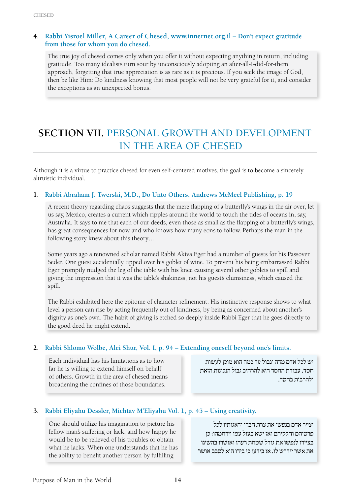## **4. Rabbi Yisroel Miller, A Career of Chesed, www.innernet.org.il – Don't expect gratitude from those for whom you do chesed.**

The true joy of chesed comes only when you offer it without expecting anything in return, including gratitude. Too many idealists turn sour by unconsciously adopting an after-all-I-did-for-them approach, forgetting that true appreciation is as rare as it is precious. If you seek the image of God, then be like Him: Do kindness knowing that most people will not be very grateful for it, and consider the exceptions as an unexpected bonus.

## **Section VII.** Personal Growth and Development in the Area of Chesed

Although it is a virtue to practice chesed for even self-centered motives, the goal is to become a sincerely altruistic individual.

## **1. Rabbi Abraham J. Twerski, M.D., Do Unto Others, Andrews McMeel Publishing, p. 19**

A recent theory regarding chaos suggests that the mere flapping of a butterfly's wings in the air over, let us say, Mexico, creates a current which ripples around the world to touch the tides of oceans in, say, Australia. It says to me that each of our deeds, even those as small as the flapping of a butterfly's wings, has great consequences for now and who knows how many eons to follow. Perhaps the man in the following story knew about this theory…

Some years ago a renowned scholar named Rabbi Akiva Eger had a number of guests for his Passover Seder. One guest accidentally tipped over his goblet of wine. To prevent his being embarrassed Rabbi Eger promptly nudged the leg of the table with his knee causing several other goblets to spill and giving the impression that it was the table's shakiness, not his guest's clumsiness, which caused the spill.

The Rabbi exhibited here the epitome of character refinement. His instinctive response shows to what level a person can rise by acting frequently out of kindness, by being as concerned about another's dignity as one's own. The habit of giving is etched so deeply inside Rabbi Eger that he goes directly to the good deed he might extend.

## **2. Rabbi Shlomo Wolbe, Alei Shur, Vol. I, p. 94 – Extending oneself beyond one's limits.**

Each individual has his limitations as to how far he is willing to extend himself on behalf of others. Growth in the area of chesed means broadening the confines of those boundaries.

יש לכל אדם מדה וגבול עד כמה הוא מוכן לעשות חסד. עבודת החסד היא להרחיב גבול הנכונות הזאת ולהרבות בחסד.

## **3. Rabbi Eliyahu Dessler, Michtav M'Eliyahu Vol. 1, p. 45 – Using creativity.**

One should utilize his imagination to picture his fellow man's suffering or lack, and how happy he would be to be relieved of his troubles or obtain what he lacks. When one understands that he has the ability to benefit another person by fulfilling

יצייר אדם בנפשו את צרת חברו ודאגותיו לכל פרטיהם וחלקיהם ואז ישא בעול עמו וירחמהו; כן בציירו לנפשו את גודל שמחת רעהו ואושרו בהשיגו את אשר יידרש לו. אז בידעו כי בידו הוא לסבב אושר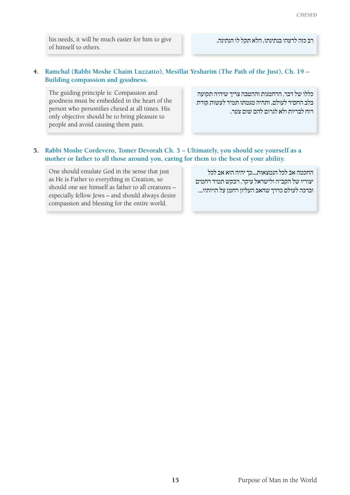his needs, it will be much easier for him to give of himself to others.

רב כזה לרעהו בנתינתו, הלא תקל לו הנתינה.

## **4. Ramchal (Rabbi Moshe Chaim Luzzatto), Mesillat Yesharim (The Path of the Just), Ch. 19 – Building compassion and goodness.**

The guiding principle is: Compassion and goodness must be embedded in the heart of the person who personifies chesed at all times. His only objective should be to bring pleasure to people and avoid causing them pain.

כללו של דבר, הרחמנות וההטבה צריך שיהיה תקועה בלב החסיד לעולם, ותהיה מגמתו תמיד לעשות קורת רוח לבריות ולא לגרום להם שום צער.

## **5. Rabbi Moshe Cordevero, Tomer Devorah Ch. 3 – Ultimately, you should see yourself as a mother or father to all those around you, caring for them to the best of your ability.**

One should emulate God in the sense that just as He is Father to everything in Creation, so should one see himself as father to all creatures – especially fellow Jews – and should always desire compassion and blessing for the entire world.

החכמה אב לכל הנמצאות...כך יהיה הוא אב לכל יצוריו של הקב"ה ולישראל עיקר, ויבקש תמיד רחמים וברכה לעולם כדרך שהאב העליון רחמן על הויותיו...